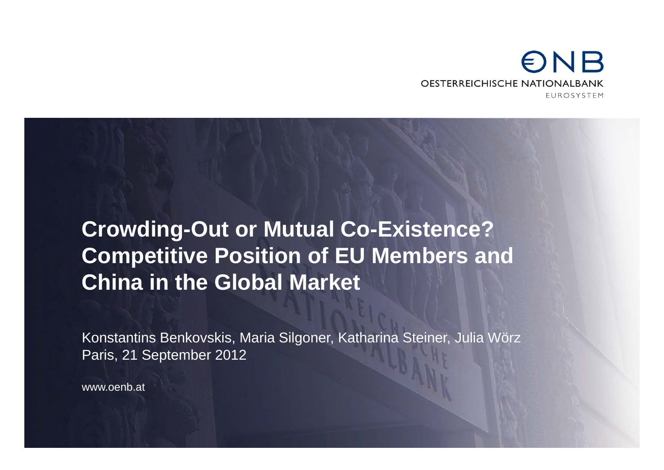### $\n *ENB*\n$ **OESTERREICHISCHE NATIONALBANK FUROSYSTEM**

# **Crowding-Out or Mutual Co-Existence? Competitive Position of EU Members and China in the Global Market**

Konstantins Benkovskis, Maria Silgoner, Katharina Steiner, Julia Wörz Paris, 21 September 2012

www.oenb.at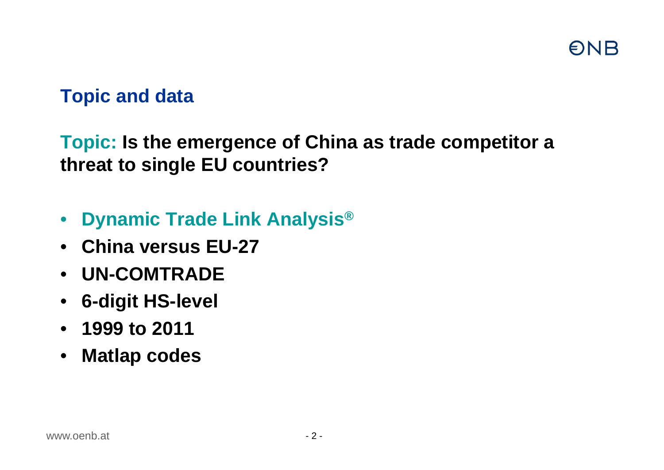# **ONB**

## **Topic and data**

**Topic: Is the emergence of China as trade competitor a threat to single EU countries?**

- **Dynamic Trade Link Analysis®**
- **China versus EU-27**
- **UN-COMTRADE**
- **6-digit HS-level**
- **1999 to 2011**
- **Matlap codes**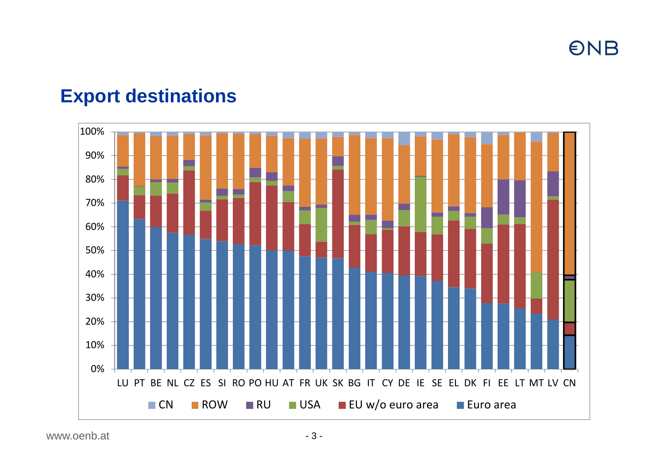**ONB** 

## **Export destinations**

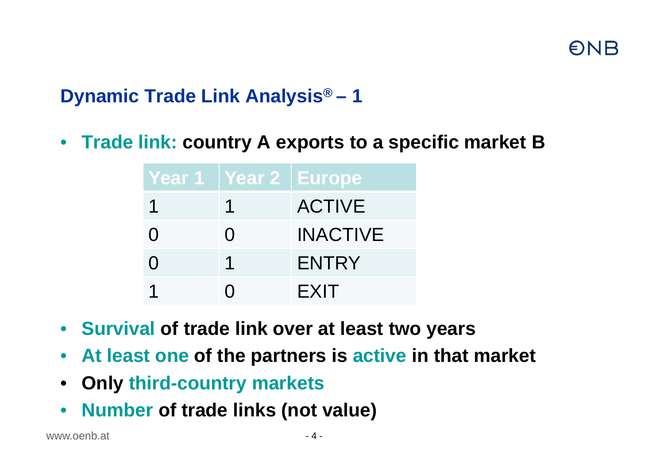# **Dynamic Trade Link Analysis® – 1**

• **Trade link: country A exports to a specific market B**

| Year 1 Year 2 Europe |                 |
|----------------------|-----------------|
|                      | <b>ACTIVE</b>   |
|                      | <b>INACTIVE</b> |
|                      | <b>ENTRY</b>    |
|                      | <b>EXIT</b>     |

- **Survival of trade link over at least two years**
- $\bullet$ **At least one of the partners is active in that market**
- $\bullet$ **Only third-country markets**
- $\bullet$ **Number of trade links (not value)**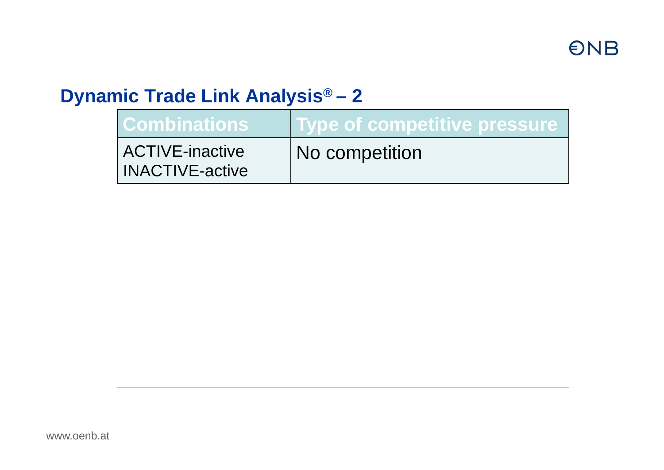## **Dynamic Trade Link Analysis® – 2**

| <b>Combinations</b>                       | <u>I Type of competitive pressure</u> |
|-------------------------------------------|---------------------------------------|
| ACTIVE-inactive<br><b>INACTIVE-active</b> | No competition                        |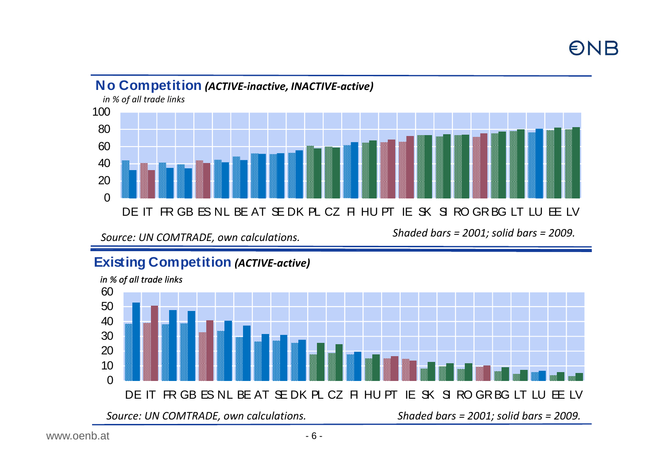### $\Omega$ 20 406080100DE IT FR GB ES NL BE AT SE DK PL CZ FI HU PT IE SK SI RO GRBG LT LU EE LV**No Competition** *(ACTIVE‐inactive, INACTIVE‐active) in % of all trade links*

*Source: UN*

*COMTRADE, own calculations. Shaded bars <sup>=</sup> 2001; solid bars <sup>=</sup> 2009.*

### **Existing Competition** *(ACTIVE‐active)*

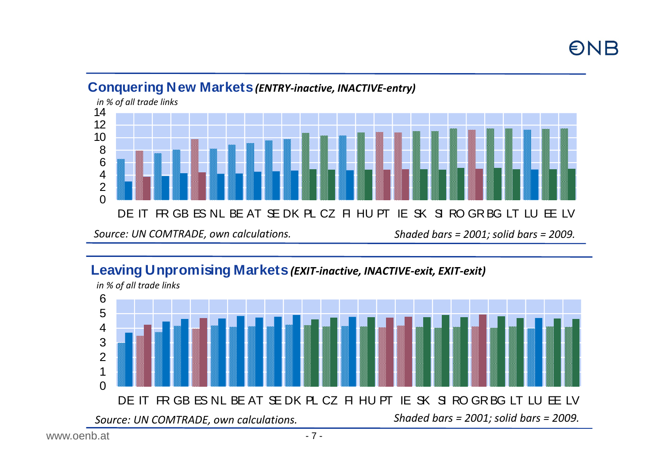

#### **Conquering New Markets** *(ENTRY‐inactive, INACTIVE‐entry)*

### **Leaving Unpromising Markets** *(EXIT‐inactive, INACTIVE‐exit, EXIT‐exit)*

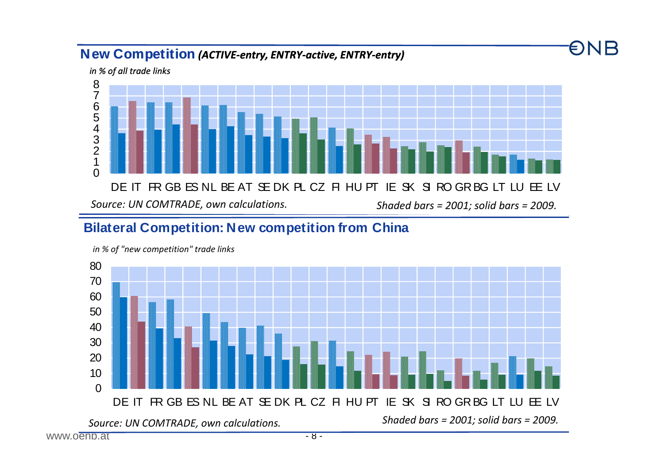#### **New Competition** *(ACTIVE‐entry, ENTRY‐active, ENTRY‐entry)*

 $\Omega$ 12 3 4 5 6 7 8 DE IT FR GB ES NL BE AT SE DK PL CZ FI HU PT IE SK SI RO GRBG LT LU EE LV*in % of all trade links Source: UN COMTRADE, own calculations. Shadedbars <sup>=</sup> 2001; solid bars <sup>=</sup> 2009.*

#### **Bilateral Competition: New competition from China**



*in % of "new competition" trade links*

**ONB**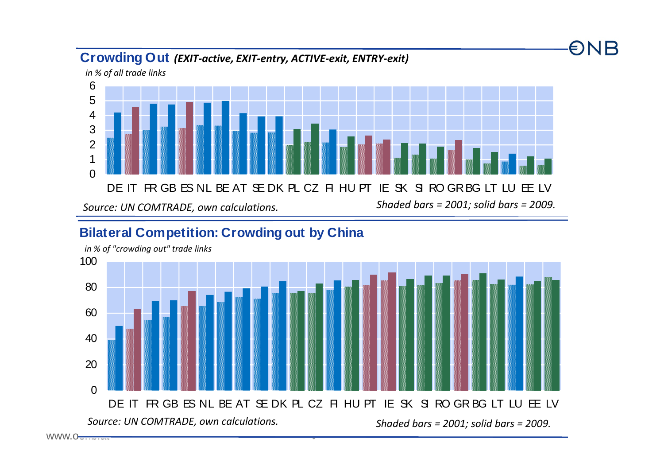

ONB

#### **Bilateral Competition: Crowding out by China**



#### **Crowding Out** *(EXIT‐active, EXIT‐entry, ACTIVE‐exit, ENTRY‐exit)*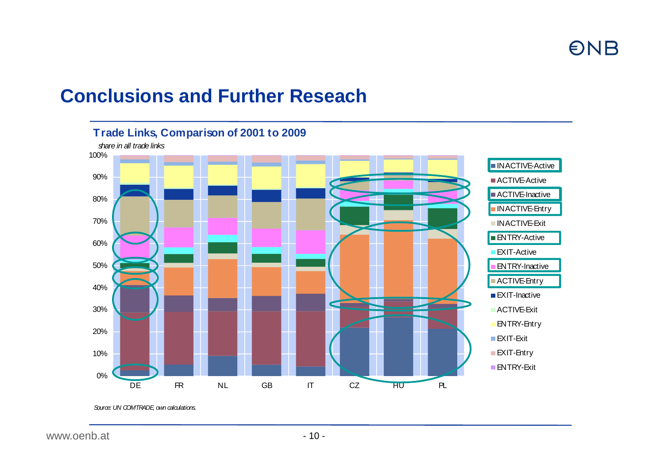## **Conclusions and Further Reseach**



*Source: UN COMTRADE, own calculations.*